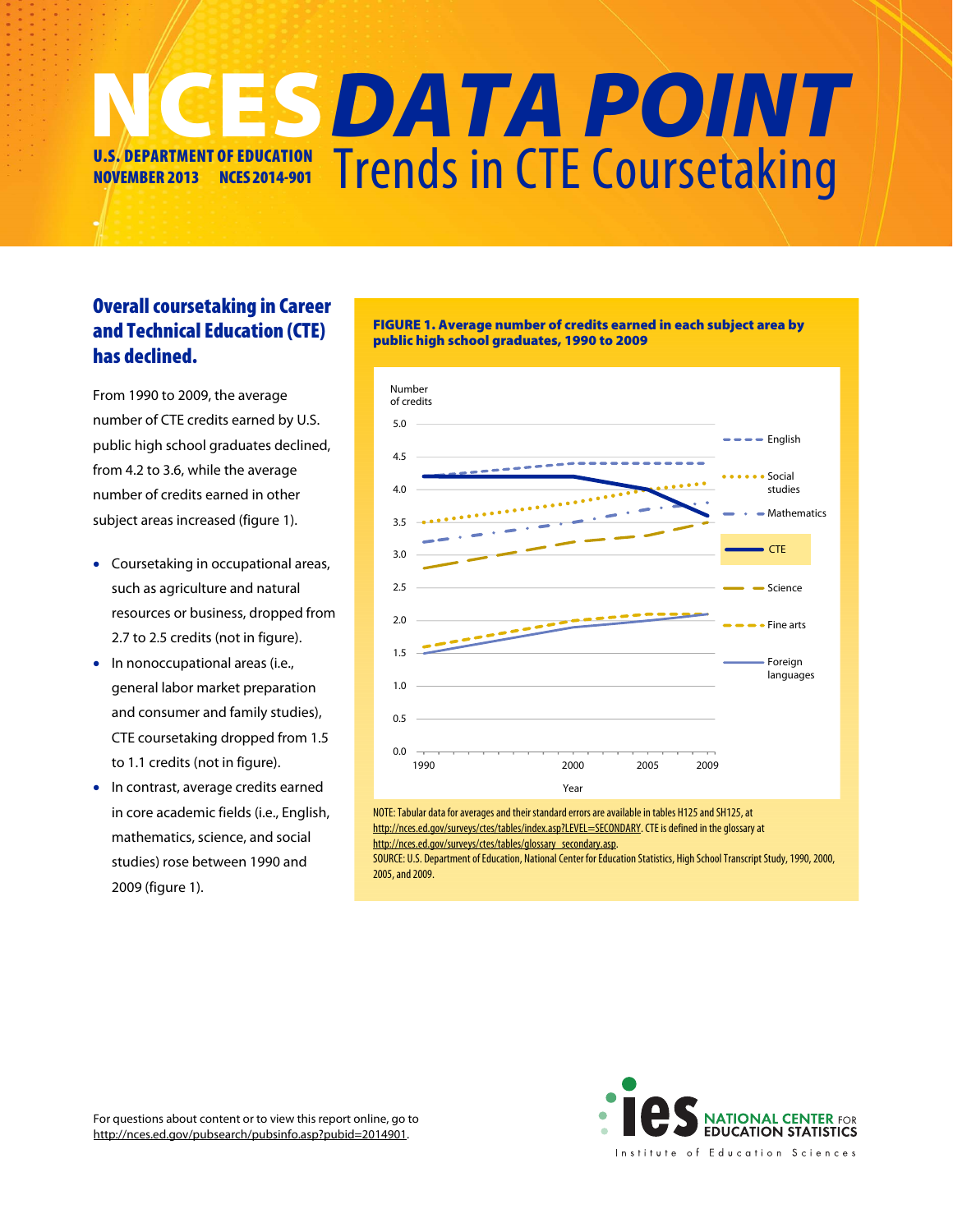## Trends in CTE Coursetaking NCES DATA POINT U.S. DEPARTMENT OF EDUCATION NOVEMBER 2013 NCES 2014-901

public high school graduates, 1990 to 2009

## Overall coursetaking in Career and Technical Education (CTE) has declined.

From 1990 to 2009, the average number of CTE credits earned by U.S. public high school graduates declined, from 4.2 to 3.6, while the average number of credits earned in other subject areas increased (figure 1).

- Coursetaking in occupational areas, such as agriculture and natural resources or business, dropped from 2.7 to 2.5 credits (not in figure).
- In nonoccupational areas (i.e., general labor market preparation and consumer and family studies), CTE coursetaking dropped from 1.5 to 1.1 credits (not in figure).
- In contrast, average credits earned in core academic fields (i.e., English, mathematics, science, and social studies) rose between 1990 and 2009 (figure 1).



FIGURE 1. Average number of credits earned in each subject area by

NOTE: Tabular data for averages and their standard errors are available in tables H125 and SH125, at http://nces.ed.gov/surveys/ctes/tables/index.asp?LEVEL=SECONDARY. CTE is defined in the glossary at http://nces.ed.gov/surveys/ctes/tables/glossary\_secondary.asp.

SOURCE: U.S. Department of Education, National Center for Education Statistics, High School Transcript Study, 1990, 2000, 2005, and 2009.